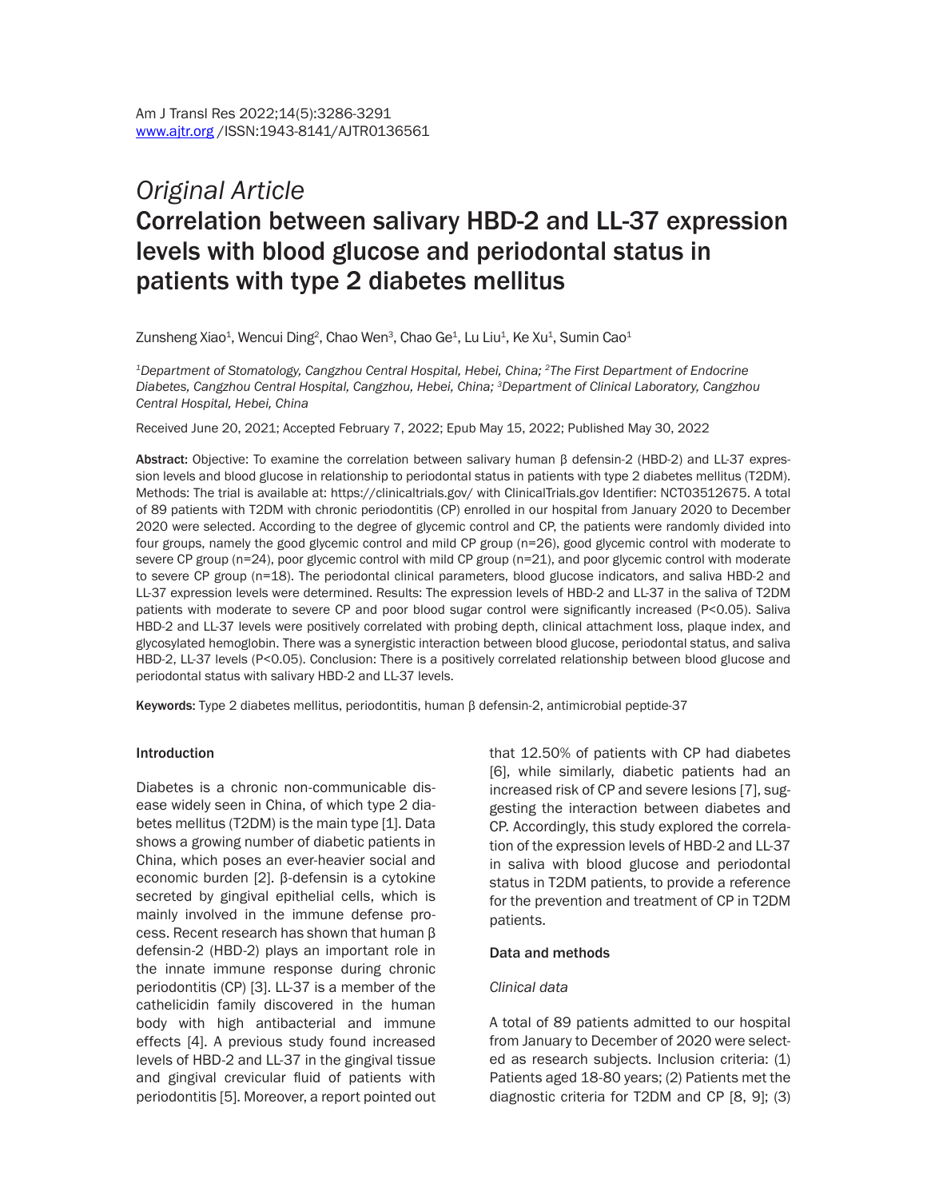# *Original Article* Correlation between salivary HBD-2 and LL-37 expression levels with blood glucose and periodontal status in patients with type 2 diabetes mellitus

Zunsheng Xiao<sup>1</sup>, Wencui Ding<sup>2</sup>, Chao Wen<sup>3</sup>, Chao Ge<sup>1</sup>, Lu Liu<sup>1</sup>, Ke Xu<sup>1</sup>, Sumin Cao<sup>1</sup>

*1Department of Stomatology, Cangzhou Central Hospital, Hebei, China; 2The First Department of Endocrine Diabetes, Cangzhou Central Hospital, Cangzhou, Hebei, China; 3Department of Clinical Laboratory, Cangzhou Central Hospital, Hebei, China*

Received June 20, 2021; Accepted February 7, 2022; Epub May 15, 2022; Published May 30, 2022

Abstract: Objective: To examine the correlation between salivary human β defensin-2 (HBD-2) and LL-37 expression levels and blood glucose in relationship to periodontal status in patients with type 2 diabetes mellitus (T2DM). Methods: The trial is available at: https://clinicaltrials.gov/ with ClinicalTrials.gov Identifier: NCT03512675. A total of 89 patients with T2DM with chronic periodontitis (CP) enrolled in our hospital from January 2020 to December 2020 were selected. According to the degree of glycemic control and CP, the patients were randomly divided into four groups, namely the good glycemic control and mild CP group (n=26), good glycemic control with moderate to severe CP group (n=24), poor glycemic control with mild CP group (n=21), and poor glycemic control with moderate to severe CP group (n=18). The periodontal clinical parameters, blood glucose indicators, and saliva HBD-2 and LL-37 expression levels were determined. Results: The expression levels of HBD-2 and LL-37 in the saliva of T2DM patients with moderate to severe CP and poor blood sugar control were significantly increased (P<0.05). Saliva HBD-2 and LL-37 levels were positively correlated with probing depth, clinical attachment loss, plaque index, and glycosylated hemoglobin. There was a synergistic interaction between blood glucose, periodontal status, and saliva HBD-2, LL-37 levels (P<0.05). Conclusion: There is a positively correlated relationship between blood glucose and periodontal status with salivary HBD-2 and LL-37 levels.

Keywords: Type 2 diabetes mellitus, periodontitis, human β defensin-2, antimicrobial peptide-37

#### Introduction

Diabetes is a chronic non-communicable disease widely seen in China, of which type 2 diabetes mellitus (T2DM) is the main type [1]. Data shows a growing number of diabetic patients in China, which poses an ever-heavier social and economic burden [2]. β-defensin is a cytokine secreted by gingival epithelial cells, which is mainly involved in the immune defense process. Recent research has shown that human β defensin-2 (HBD-2) plays an important role in the innate immune response during chronic periodontitis (CP) [3]. LL-37 is a member of the cathelicidin family discovered in the human body with high antibacterial and immune effects [4]. A previous study found increased levels of HBD-2 and LL-37 in the gingival tissue and gingival crevicular fluid of patients with periodontitis [5]. Moreover, a report pointed out that 12.50% of patients with CP had diabetes [6], while similarly, diabetic patients had an increased risk of CP and severe lesions [7], suggesting the interaction between diabetes and CP. Accordingly, this study explored the correlation of the expression levels of HBD-2 and LL-37 in saliva with blood glucose and periodontal status in T2DM patients, to provide a reference for the prevention and treatment of CP in T2DM patients.

#### Data and methods

#### *Clinical data*

A total of 89 patients admitted to our hospital from January to December of 2020 were selected as research subjects. Inclusion criteria: (1) Patients aged 18-80 years; (2) Patients met the diagnostic criteria for T2DM and CP [8, 9]; (3)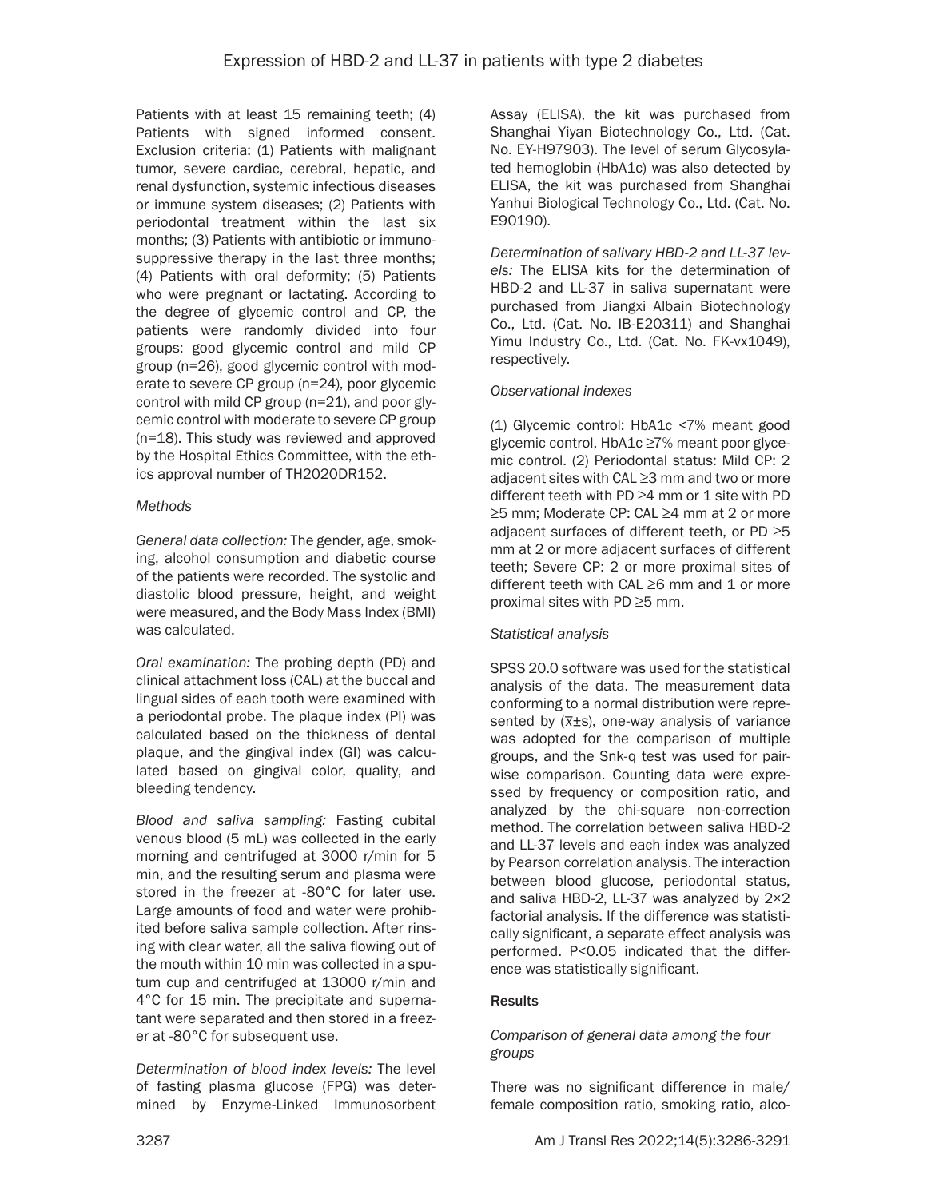Patients with at least 15 remaining teeth; (4) Patients with signed informed consent. Exclusion criteria: (1) Patients with malignant tumor, severe cardiac, cerebral, hepatic, and renal dysfunction, systemic infectious diseases or immune system diseases; (2) Patients with periodontal treatment within the last six months; (3) Patients with antibiotic or immunosuppressive therapy in the last three months; (4) Patients with oral deformity; (5) Patients who were pregnant or lactating. According to the degree of glycemic control and CP, the patients were randomly divided into four groups: good glycemic control and mild CP group (n=26), good glycemic control with moderate to severe CP group (n=24), poor glycemic control with mild CP group (n=21), and poor glycemic control with moderate to severe CP group (n=18). This study was reviewed and approved by the Hospital Ethics Committee, with the ethics approval number of TH2020DR152.

### *Methods*

*General data collection:* The gender, age, smoking, alcohol consumption and diabetic course of the patients were recorded. The systolic and diastolic blood pressure, height, and weight were measured, and the Body Mass Index (BMI) was calculated.

*Oral examination:* The probing depth (PD) and clinical attachment loss (CAL) at the buccal and lingual sides of each tooth were examined with a periodontal probe. The plaque index (PI) was calculated based on the thickness of dental plaque, and the gingival index (GI) was calculated based on gingival color, quality, and bleeding tendency.

*Blood and saliva sampling:* Fasting cubital venous blood (5 mL) was collected in the early morning and centrifuged at 3000 r/min for 5 min, and the resulting serum and plasma were stored in the freezer at -80°C for later use. Large amounts of food and water were prohibited before saliva sample collection. After rinsing with clear water, all the saliva flowing out of the mouth within 10 min was collected in a sputum cup and centrifuged at 13000 r/min and 4°C for 15 min. The precipitate and supernatant were separated and then stored in a freezer at -80°C for subsequent use.

*Determination of blood index levels:* The level of fasting plasma glucose (FPG) was determined by Enzyme-Linked Immunosorbent Assay (ELISA), the kit was purchased from Shanghai Yiyan Biotechnology Co., Ltd. (Cat. No. EY-H97903). The level of serum Glycosylated hemoglobin (HbA1c) was also detected by ELISA, the kit was purchased from Shanghai Yanhui Biological Technology Co., Ltd. (Cat. No. E90190).

*Determination of salivary HBD-2 and LL-37 levels:* The ELISA kits for the determination of HBD-2 and LL-37 in saliva supernatant were purchased from Jiangxi Albain Biotechnology Co., Ltd. (Cat. No. IB-E20311) and Shanghai Yimu Industry Co., Ltd. (Cat. No. FK-vx1049), respectively.

# *Observational indexes*

(1) Glycemic control: HbA1c <7% meant good glycemic control, HbA1c ≥7% meant poor glycemic control. (2) Periodontal status: Mild CP: 2 adjacent sites with CAL ≥3 mm and two or more different teeth with PD ≥4 mm or 1 site with PD ≥5 mm; Moderate CP: CAL ≥4 mm at 2 or more adjacent surfaces of different teeth, or PD ≥5 mm at 2 or more adjacent surfaces of different teeth; Severe CP: 2 or more proximal sites of different teeth with CAL ≥6 mm and 1 or more proximal sites with PD ≥5 mm.

# *Statistical analysis*

SPSS 20.0 software was used for the statistical analysis of the data. The measurement data conforming to a normal distribution were represented by (*\_ x*±s), one-way analysis of variance was adopted for the comparison of multiple groups, and the Snk-q test was used for pairwise comparison. Counting data were expressed by frequency or composition ratio, and analyzed by the chi-square non-correction method. The correlation between saliva HBD-2 and LL-37 levels and each index was analyzed by Pearson correlation analysis. The interaction between blood glucose, periodontal status, and saliva HBD-2, LL-37 was analyzed by 2×2 factorial analysis. If the difference was statistically significant, a separate effect analysis was performed. P<0.05 indicated that the difference was statistically significant.

# **Results**

# *Comparison of general data among the four groups*

There was no significant difference in male/ female composition ratio, smoking ratio, alco-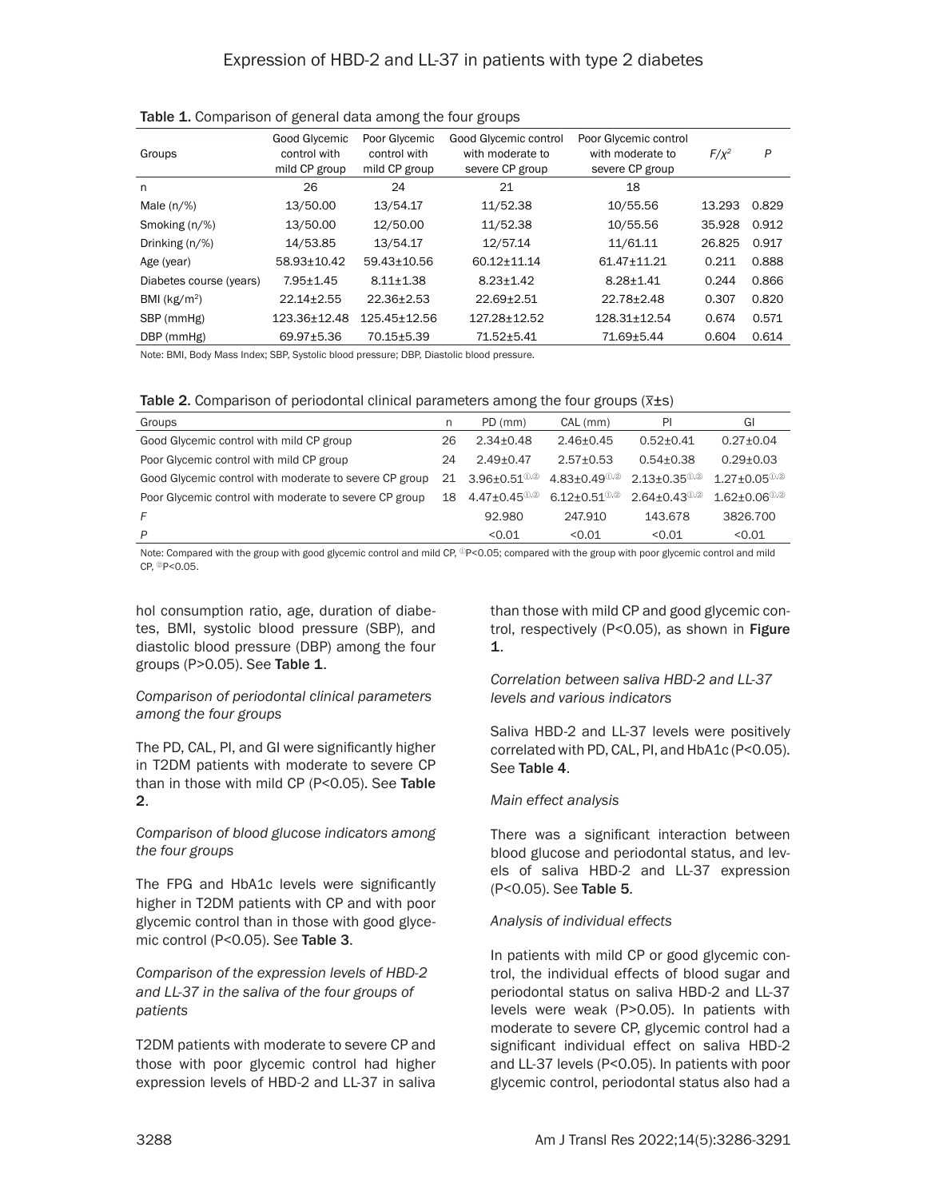| Groups                  | Good Glycemic<br>control with<br>mild CP group | Poor Glycemic<br>control with<br>mild CP group | Good Glycemic control<br>with moderate to<br>severe CP group | Poor Glycemic control<br>with moderate to<br>severe CP group | $F/x^2$ | P     |
|-------------------------|------------------------------------------------|------------------------------------------------|--------------------------------------------------------------|--------------------------------------------------------------|---------|-------|
| n                       | 26                                             | 24                                             | 21                                                           | 18                                                           |         |       |
| Male $(n/\%)$           | 13/50.00                                       | 13/54.17                                       | 11/52.38                                                     | 10/55.56                                                     | 13.293  | 0.829 |
| Smoking (n/%)           | 13/50.00                                       | 12/50.00                                       | 11/52.38                                                     | 10/55.56                                                     | 35.928  | 0.912 |
| Drinking $(n/\%)$       | 14/53.85                                       | 13/54.17                                       | 12/57.14                                                     | 11/61.11                                                     | 26.825  | 0.917 |
| Age (year)              | 58.93±10.42                                    | 59.43+10.56                                    | 60.12+11.14                                                  | 61.47+11.21                                                  | 0.211   | 0.888 |
| Diabetes course (years) | $7.95 \pm 1.45$                                | $8.11 \pm 1.38$                                | $8.23 + 1.42$                                                | $8.28 \pm 1.41$                                              | 0.244   | 0.866 |
| BMI ( $kg/m2$ )         | $22.14 \pm 2.55$                               | $22.36 \pm 2.53$                               | $22.69 + 2.51$                                               | 22.78±2.48                                                   | 0.307   | 0.820 |
| SBP (mmHg)              | 123.36±12.48                                   | 125.45±12.56                                   | 127.28±12.52                                                 | $128.31 \pm 12.54$                                           | 0.674   | 0.571 |
| DBP (mmHg)              | 69.97±5.36                                     | 70.15±5.39                                     | 71.52±5.41                                                   | 71.69±5.44                                                   | 0.604   | 0.614 |

Table 1. Comparison of general data among the four groups

Note: BMI, Body Mass Index; SBP, Systolic blood pressure; DBP, Diastolic blood pressure.

Table 2. Comparison of periodontal clinical parameters among the four groups (*\_ x*±s)

| Groups                                                 | n  | PD (mm)                                        | CAL (mm)                                  | PI                              | GI                             |
|--------------------------------------------------------|----|------------------------------------------------|-------------------------------------------|---------------------------------|--------------------------------|
| Good Glycemic control with mild CP group               | 26 | $2.34 + 0.48$                                  | $2.46 + 0.45$                             | $0.52 + 0.41$                   | $0.27 \pm 0.04$                |
| Poor Glycemic control with mild CP group               | 24 | $2.49 + 0.47$                                  | $2.57 + 0.53$                             | $0.54 + 0.38$                   | $0.29 + 0.03$                  |
| Good Glycemic control with moderate to severe CP group |    | 21 3.96+0.51 $^{\circ\circ}$                   | $4.83 + 0.49$ <sup><math>0.2</math></sup> | $2.13 + 0.35$ <sup>(1),2)</sup> | $1.27 + 0.05^{\circledR}$      |
| Poor Glycemic control with moderate to severe CP group | 18 | $4.47{\pm}0.45^{\tiny\textcircled{\tiny 1,2}}$ | $6.12 + 0.51$ <sup>(i),2)</sup>           | $2.64 + 0.43$ <sup>(1),2)</sup> | $1.62 + 0.06$ <sup>(i),2</sup> |
| F                                                      |    | 92.980                                         | 247.910                                   | 143.678                         | 3826,700                       |
| P                                                      |    | < 0.01                                         | 0.01                                      | < 0.01                          | < 0.01                         |

Note: Compared with the group with good glycemic control and mild CP, <sup>1</sup>P<0.05; compared with the group with poor glycemic control and mild CP, ②P<0.05.

hol consumption ratio, age, duration of diabetes, BMI, systolic blood pressure (SBP), and diastolic blood pressure (DBP) among the four groups (P $>0.05$ ). See Table 1.

*Comparison of periodontal clinical parameters among the four groups*

The PD, CAL, PI, and GI were significantly higher in T2DM patients with moderate to severe CP than in those with mild CP (P<0.05). See Table 2.

*Comparison of blood glucose indicators among the four groups*

The FPG and HbA1c levels were significantly higher in T2DM patients with CP and with poor glycemic control than in those with good glycemic control (P<0.05). See Table 3.

*Comparison of the expression levels of HBD-2 and LL-37 in the saliva of the four groups of patients*

T2DM patients with moderate to severe CP and those with poor glycemic control had higher expression levels of HBD-2 and LL-37 in saliva

than those with mild CP and good glycemic control, respectively (P<0.05), as shown in Figure 1.

*Correlation between saliva HBD-2 and LL-37 levels and various indicators*

Saliva HBD-2 and LL-37 levels were positively correlated with PD, CAL, PI, and HbA1c (P<0.05). See Table 4.

#### *Main effect analysis*

There was a significant interaction between blood glucose and periodontal status, and levels of saliva HBD-2 and LL-37 expression (P<0.05). See Table 5.

#### *Analysis of individual effects*

In patients with mild CP or good glycemic control, the individual effects of blood sugar and periodontal status on saliva HBD-2 and LL-37 levels were weak (P>0.05). In patients with moderate to severe CP, glycemic control had a significant individual effect on saliva HBD-2 and LL-37 levels (P<0.05). In patients with poor glycemic control, periodontal status also had a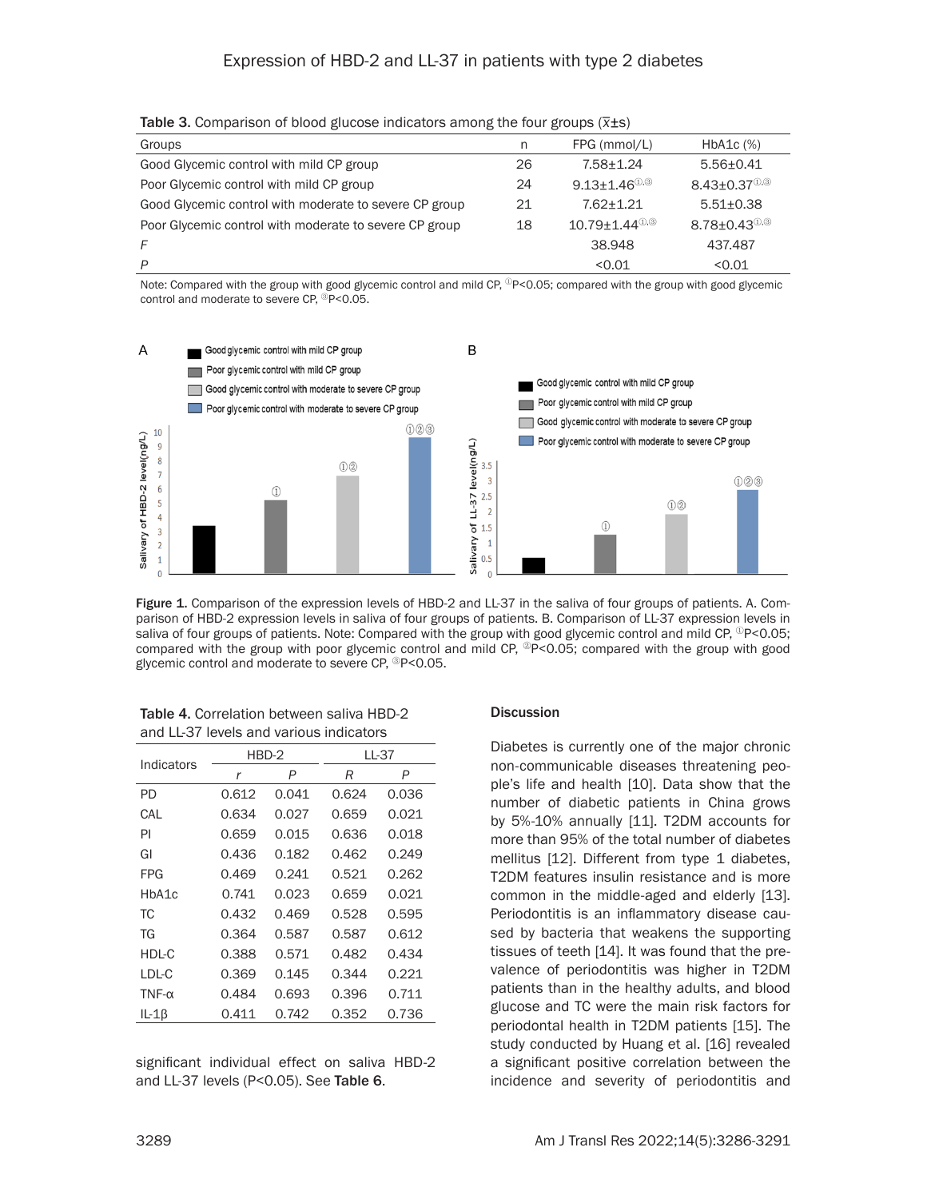| <b>Table of Companion in prova gravede margatere among the real greaps (A20)</b> |    |                                 |                                   |  |  |
|----------------------------------------------------------------------------------|----|---------------------------------|-----------------------------------|--|--|
| Groups                                                                           | n  | FPG (mmol/L)                    | $HbA1c$ $(\%)$                    |  |  |
| Good Glycemic control with mild CP group                                         | 26 | $7.58 + 1.24$                   | $5.56 \pm 0.41$                   |  |  |
| Poor Glycemic control with mild CP group                                         | 24 | $9.13 + 1.46$ <sup>(1,3)</sup>  | $8.43 \pm 0.37$ <sup>(1),3)</sup> |  |  |
| Good Glycemic control with moderate to severe CP group                           | 21 | $7.62 + 1.21$                   | $5.51 \pm 0.38$                   |  |  |
| Poor Glycemic control with moderate to severe CP group                           | 18 | $10.79 + 1.44$ <sup>(i),3</sup> | $8.78 \pm 0.43$ <sup>(0,3)</sup>  |  |  |
|                                                                                  |    | 38.948                          | 437.487                           |  |  |
|                                                                                  |    | < 0.01                          | < 0.01                            |  |  |

Table 3. Comparison of blood glucose indicators among the four groups (*\_ x*±s)

Note: Compared with the group with good glycemic control and mild CP,  $\degree$ P<0.05; compared with the group with good glycemic control and moderate to severe CP, <sup>③</sup>P<0.05.



Figure 1. Comparison of the expression levels of HBD-2 and LL-37 in the saliva of four groups of patients. A. Comparison of HBD-2 expression levels in saliva of four groups of patients. B. Comparison of LL-37 expression levels in saliva of four groups of patients. Note: Compared with the group with good glycemic control and mild CP,  $^{\circ}$ P<0.05; compared with the group with poor glycemic control and mild CP,  $^{\circ}$ P<0.05; compared with the group with good glycemic control and moderate to severe CP, <sup>③</sup>P<0.05.

| 60 U LL JI<br>TUVUD UHU VUHUUD IHUIUUUD O |       |         |       |       |  |
|-------------------------------------------|-------|---------|-------|-------|--|
| Indicators                                |       | $HBD-2$ | LL-37 |       |  |
|                                           | r     | P       | R     | P     |  |
| PD                                        | 0.612 | 0.041   | 0.624 | 0.036 |  |
| CAL                                       | 0.634 | 0.027   | 0.659 | 0.021 |  |
| PI                                        | 0.659 | 0.015   | 0.636 | 0.018 |  |
| GI                                        | 0.436 | 0.182   | 0.462 | 0.249 |  |
| <b>FPG</b>                                | 0.469 | 0.241   | 0.521 | 0.262 |  |
| HbA1c                                     | 0.741 | 0.023   | 0.659 | 0.021 |  |
| ТC                                        | 0.432 | 0.469   | 0.528 | 0.595 |  |
| TG                                        | 0.364 | 0.587   | 0.587 | 0.612 |  |
| HDL-C                                     | 0.388 | 0.571   | 0.482 | 0.434 |  |
| LDL-C                                     | 0.369 | 0.145   | 0.344 | 0.221 |  |
| $TNF-\alpha$                              | 0.484 | 0.693   | 0.396 | 0.711 |  |
| $IL-1\beta$                               | 0.411 | 0.742   | 0.352 | 0.736 |  |

Table 4. Correlation between saliva HBD-2 and LL-37 levels and various indicators

significant individual effect on saliva HBD-2 and LL-37 levels (P<0.05). See Table 6.

#### **Discussion**

Diabetes is currently one of the major chronic non-communicable diseases threatening people's life and health [10]. Data show that the number of diabetic patients in China grows by 5%-10% annually [11]. T2DM accounts for more than 95% of the total number of diabetes mellitus [12]. Different from type 1 diabetes, T2DM features insulin resistance and is more common in the middle-aged and elderly [13]. Periodontitis is an inflammatory disease caused by bacteria that weakens the supporting tissues of teeth [14]. It was found that the prevalence of periodontitis was higher in T2DM patients than in the healthy adults, and blood glucose and TC were the main risk factors for periodontal health in T2DM patients [15]. The study conducted by Huang et al. [16] revealed a significant positive correlation between the incidence and severity of periodontitis and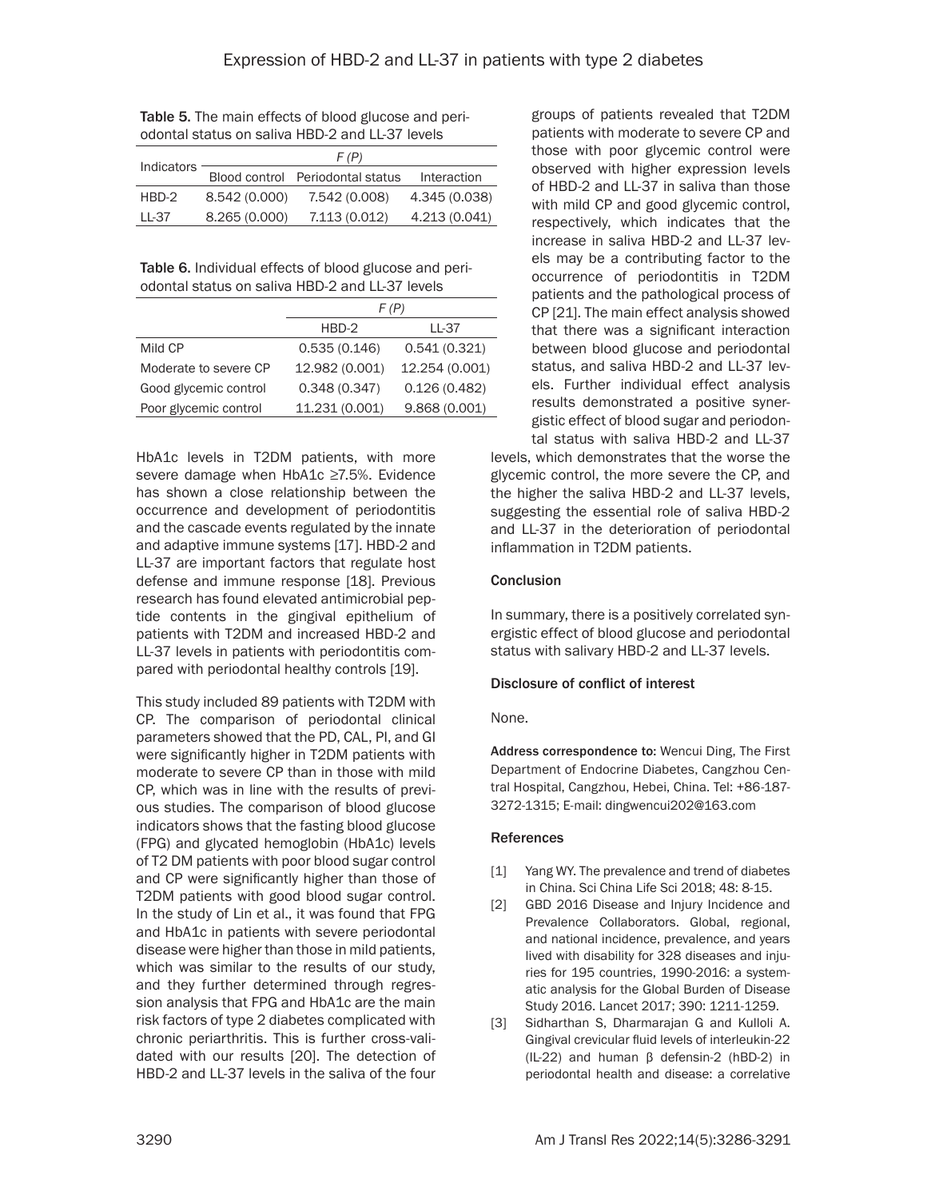Table 5. The main effects of blood glucose and periodontal status on saliva HBD-2 and LL-37 levels

| <b>Indicators</b> | F(P)          |                                  |               |  |  |
|-------------------|---------------|----------------------------------|---------------|--|--|
|                   |               | Blood control Periodontal status | Interaction   |  |  |
| HBD-2             | 8.542 (0.000) | 7.542 (0.008)                    | 4.345 (0.038) |  |  |
| LL-37             | 8.265(0.000)  | 7.113 (0.012)                    | 4.213 (0.041) |  |  |

Table 6. Individual effects of blood glucose and periodontal status on saliva HBD-2 and LL-37 levels

|                       | F (P)          |                |  |
|-----------------------|----------------|----------------|--|
|                       | $HBD-2$        | LL-37          |  |
| Mild CP               | 0.535(0.146)   | 0.541(0.321)   |  |
| Moderate to severe CP | 12.982 (0.001) | 12.254 (0.001) |  |
| Good glycemic control | 0.348(0.347)   | 0.126(0.482)   |  |
| Poor glycemic control | 11.231 (0.001) | 9.868(0.001)   |  |

HbA1c levels in T2DM patients, with more severe damage when HbA1c ≥7.5%. Evidence has shown a close relationship between the occurrence and development of periodontitis and the cascade events regulated by the innate and adaptive immune systems [17]. HBD-2 and LL-37 are important factors that regulate host defense and immune response [18]. Previous research has found elevated antimicrobial peptide contents in the gingival epithelium of patients with T2DM and increased HBD-2 and LL-37 levels in patients with periodontitis compared with periodontal healthy controls [19].

This study included 89 patients with T2DM with CP. The comparison of periodontal clinical parameters showed that the PD, CAL, PI, and GI were significantly higher in T2DM patients with moderate to severe CP than in those with mild CP, which was in line with the results of previous studies. The comparison of blood glucose indicators shows that the fasting blood glucose (FPG) and glycated hemoglobin (HbA1c) levels of T2 DM patients with poor blood sugar control and CP were significantly higher than those of T2DM patients with good blood sugar control. In the study of Lin et al., it was found that FPG and HbA1c in patients with severe periodontal disease were higher than those in mild patients, which was similar to the results of our study, and they further determined through regression analysis that FPG and HbA1c are the main risk factors of type 2 diabetes complicated with chronic periarthritis. This is further cross-validated with our results [20]. The detection of HBD-2 and LL-37 levels in the saliva of the four groups of patients revealed that T2DM patients with moderate to severe CP and those with poor glycemic control were observed with higher expression levels of HBD-2 and LL-37 in saliva than those with mild CP and good glycemic control, respectively, which indicates that the increase in saliva HBD-2 and LL-37 levels may be a contributing factor to the occurrence of periodontitis in T2DM patients and the pathological process of CP [21]. The main effect analysis showed that there was a significant interaction between blood glucose and periodontal status, and saliva HBD-2 and LL-37 levels. Further individual effect analysis results demonstrated a positive synergistic effect of blood sugar and periodontal status with saliva HBD-2 and LL-37

levels, which demonstrates that the worse the glycemic control, the more severe the CP, and the higher the saliva HBD-2 and LL-37 levels, suggesting the essential role of saliva HBD-2 and LL-37 in the deterioration of periodontal inflammation in T2DM patients.

### Conclusion

In summary, there is a positively correlated synergistic effect of blood glucose and periodontal status with salivary HBD-2 and LL-37 levels.

# Disclosure of conflict of interest

#### None.

Address correspondence to: Wencui Ding, The First Department of Endocrine Diabetes, Cangzhou Central Hospital, Cangzhou, Hebei, China. Tel: +86-187- 3272-1315; E-mail: [dingwencui202@163.com](mailto:dingwencui202@163.com)

# References

- [1] Yang WY. The prevalence and trend of diabetes in China. Sci China Life Sci 2018; 48: 8-15.
- [2] GBD 2016 Disease and Injury Incidence and Prevalence Collaborators. Global, regional, and national incidence, prevalence, and years lived with disability for 328 diseases and injuries for 195 countries, 1990-2016: a systematic analysis for the Global Burden of Disease Study 2016. Lancet 2017; 390: 1211-1259.
- [3] Sidharthan S, Dharmarajan G and Kulloli A. Gingival crevicular fluid levels of interleukin-22 (IL-22) and human β defensin-2 (hBD-2) in periodontal health and disease: a correlative